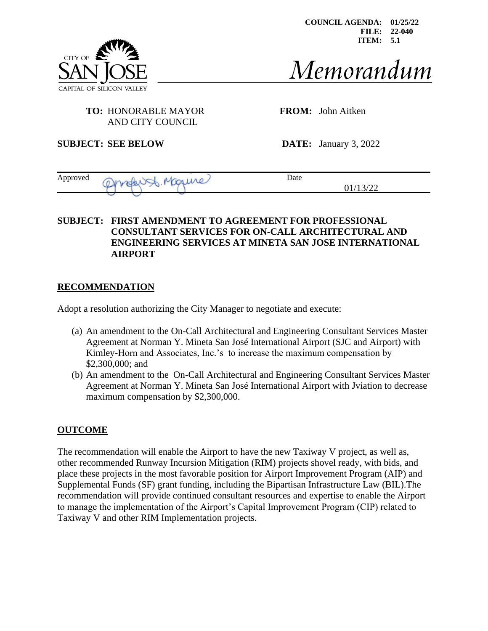

**COUNCIL AGENDA: 01/25/22 FILE: 22-040 ITEM: 5.1**

# Memorandum

01/13/22

### **TO:** HONORABLE MAYOR **FROM:** John Aitken AND CITY COUNCIL

**SUBJECT: SEE BELOW DATE:** January 3, 2022

| Approved | Maure<br>$\sim$<br>$\mathsf{M}$<br><b>Section</b><br>$\mathcal{M}$<br>w | Jate |
|----------|-------------------------------------------------------------------------|------|
|          | __                                                                      |      |

### **SUBJECT: FIRST AMENDMENT TO AGREEMENT FOR PROFESSIONAL CONSULTANT SERVICES FOR ON-CALL ARCHITECTURAL AND ENGINEERING SERVICES AT MINETA SAN JOSE INTERNATIONAL AIRPORT**

## **RECOMMENDATION**

Adopt a resolution authorizing the City Manager to negotiate and execute:

- (a) An amendment to the On-Call Architectural and Engineering Consultant Services Master Agreement at Norman Y. Mineta San José International Airport (SJC and Airport) with Kimley-Horn and Associates, Inc.'s to increase the maximum compensation by \$2,300,000; and
- (b) An amendment to the On-Call Architectural and Engineering Consultant Services Master Agreement at Norman Y. Mineta San José International Airport with Jviation to decrease maximum compensation by \$2,300,000.

#### **OUTCOME**

The recommendation will enable the Airport to have the new Taxiway V project, as well as, other recommended Runway Incursion Mitigation (RIM) projects shovel ready, with bids, and place these projects in the most favorable position for Airport Improvement Program (AIP) and Supplemental Funds (SF) grant funding, including the Bipartisan Infrastructure Law (BIL).The recommendation will provide continued consultant resources and expertise to enable the Airport to manage the implementation of the Airport's Capital Improvement Program (CIP) related to Taxiway V and other RIM Implementation projects.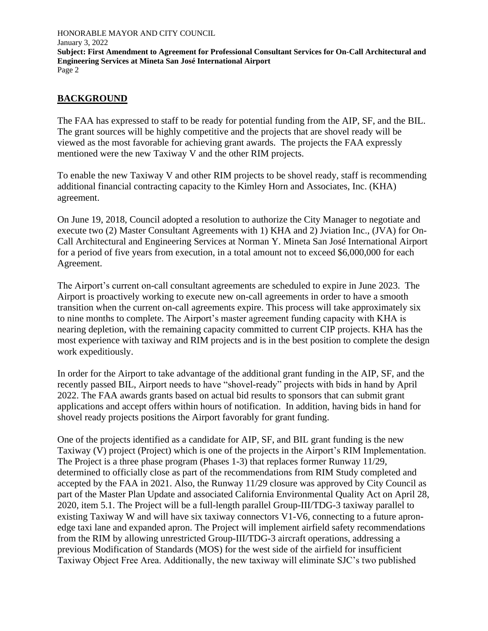## **BACKGROUND**

The FAA has expressed to staff to be ready for potential funding from the AIP, SF, and the BIL. The grant sources will be highly competitive and the projects that are shovel ready will be viewed as the most favorable for achieving grant awards. The projects the FAA expressly mentioned were the new Taxiway V and the other RIM projects.

To enable the new Taxiway V and other RIM projects to be shovel ready, staff is recommending additional financial contracting capacity to the Kimley Horn and Associates, Inc. (KHA) agreement.

On June 19, 2018, Council adopted a resolution to authorize the City Manager to negotiate and execute two (2) Master Consultant Agreements with 1) KHA and 2) Jviation Inc., (JVA) for On-Call Architectural and Engineering Services at Norman Y. Mineta San José International Airport for a period of five years from execution, in a total amount not to exceed \$6,000,000 for each Agreement.

The Airport's current on-call consultant agreements are scheduled to expire in June 2023. The Airport is proactively working to execute new on-call agreements in order to have a smooth transition when the current on-call agreements expire. This process will take approximately six to nine months to complete. The Airport's master agreement funding capacity with KHA is nearing depletion, with the remaining capacity committed to current CIP projects. KHA has the most experience with taxiway and RIM projects and is in the best position to complete the design work expeditiously.

In order for the Airport to take advantage of the additional grant funding in the AIP, SF, and the recently passed BIL, Airport needs to have "shovel-ready" projects with bids in hand by April 2022. The FAA awards grants based on actual bid results to sponsors that can submit grant applications and accept offers within hours of notification. In addition, having bids in hand for shovel ready projects positions the Airport favorably for grant funding.

One of the projects identified as a candidate for AIP, SF, and BIL grant funding is the new Taxiway (V) project (Project) which is one of the projects in the Airport's RIM Implementation. The Project is a three phase program (Phases 1-3) that replaces former Runway 11/29, determined to officially close as part of the recommendations from RIM Study completed and accepted by the FAA in 2021. Also, the Runway 11/29 closure was approved by City Council as part of the Master Plan Update and associated California Environmental Quality Act on April 28, 2020, item 5.1. The Project will be a full-length parallel Group-III/TDG-3 taxiway parallel to existing Taxiway W and will have six taxiway connectors V1-V6, connecting to a future apronedge taxi lane and expanded apron. The Project will implement airfield safety recommendations from the RIM by allowing unrestricted Group-III/TDG-3 aircraft operations, addressing a previous Modification of Standards (MOS) for the west side of the airfield for insufficient Taxiway Object Free Area. Additionally, the new taxiway will eliminate SJC's two published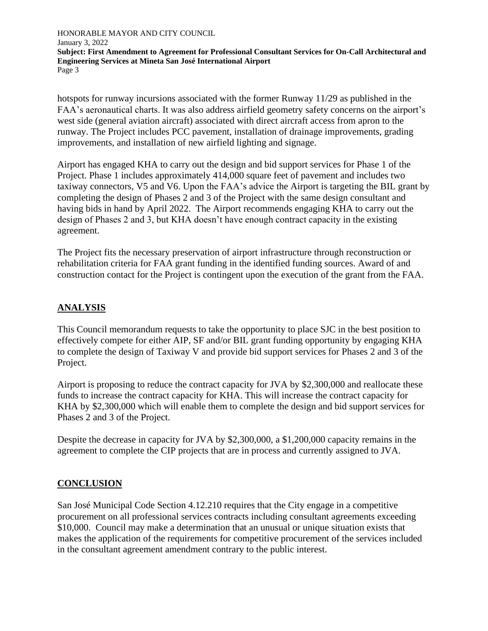hotspots for runway incursions associated with the former Runway 11/29 as published in the FAA's aeronautical charts. It was also address airfield geometry safety concerns on the airport's west side (general aviation aircraft) associated with direct aircraft access from apron to the runway. The Project includes PCC pavement, installation of drainage improvements, grading improvements, and installation of new airfield lighting and signage.

Airport has engaged KHA to carry out the design and bid support services for Phase 1 of the Project. Phase 1 includes approximately 414,000 square feet of pavement and includes two taxiway connectors, V5 and V6. Upon the FAA's advice the Airport is targeting the BIL grant by completing the design of Phases 2 and 3 of the Project with the same design consultant and having bids in hand by April 2022. The Airport recommends engaging KHA to carry out the design of Phases 2 and 3, but KHA doesn't have enough contract capacity in the existing agreement.

The Project fits the necessary preservation of airport infrastructure through reconstruction or rehabilitation criteria for FAA grant funding in the identified funding sources. Award of and construction contact for the Project is contingent upon the execution of the grant from the FAA.

#### **ANALYSIS**

This Council memorandum requests to take the opportunity to place SJC in the best position to effectively compete for either AIP, SF and/or BIL grant funding opportunity by engaging KHA to complete the design of Taxiway V and provide bid support services for Phases 2 and 3 of the Project.

Airport is proposing to reduce the contract capacity for JVA by \$2,300,000 and reallocate these funds to increase the contract capacity for KHA. This will increase the contract capacity for KHA by \$2,300,000 which will enable them to complete the design and bid support services for Phases 2 and 3 of the Project.

Despite the decrease in capacity for JVA by \$2,300,000, a \$1,200,000 capacity remains in the agreement to complete the CIP projects that are in process and currently assigned to JVA.

#### **CONCLUSION**

San José Municipal Code Section 4.12.210 requires that the City engage in a competitive procurement on all professional services contracts including consultant agreements exceeding \$10,000. Council may make a determination that an unusual or unique situation exists that makes the application of the requirements for competitive procurement of the services included in the consultant agreement amendment contrary to the public interest.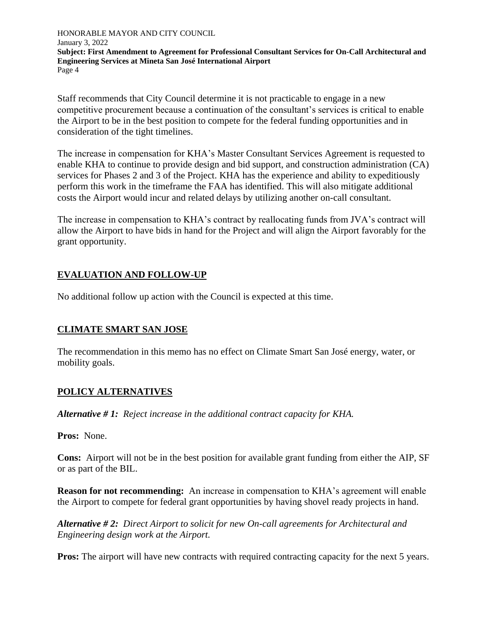Staff recommends that City Council determine it is not practicable to engage in a new competitive procurement because a continuation of the consultant's services is critical to enable the Airport to be in the best position to compete for the federal funding opportunities and in consideration of the tight timelines.

The increase in compensation for KHA's Master Consultant Services Agreement is requested to enable KHA to continue to provide design and bid support, and construction administration (CA) services for Phases 2 and 3 of the Project. KHA has the experience and ability to expeditiously perform this work in the timeframe the FAA has identified. This will also mitigate additional costs the Airport would incur and related delays by utilizing another on-call consultant.

The increase in compensation to KHA's contract by reallocating funds from JVA's contract will allow the Airport to have bids in hand for the Project and will align the Airport favorably for the grant opportunity.

## **EVALUATION AND FOLLOW-UP**

No additional follow up action with the Council is expected at this time.

#### **CLIMATE SMART SAN JOSE**

The recommendation in this memo has no effect on Climate Smart San José energy, water, or mobility goals.

#### **POLICY ALTERNATIVES**

*Alternative # 1: Reject increase in the additional contract capacity for KHA.*

**Pros:** None.

**Cons:** Airport will not be in the best position for available grant funding from either the AIP, SF or as part of the BIL.

**Reason for not recommending:** An increase in compensation to KHA's agreement will enable the Airport to compete for federal grant opportunities by having shovel ready projects in hand.

*Alternative # 2: Direct Airport to solicit for new On-call agreements for Architectural and Engineering design work at the Airport.*

**Pros:** The airport will have new contracts with required contracting capacity for the next 5 years.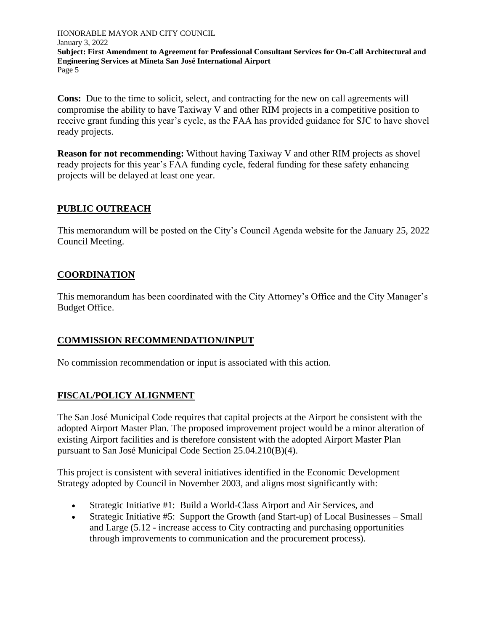**Cons:** Due to the time to solicit, select, and contracting for the new on call agreements will compromise the ability to have Taxiway V and other RIM projects in a competitive position to receive grant funding this year's cycle, as the FAA has provided guidance for SJC to have shovel ready projects.

**Reason for not recommending:** Without having Taxiway V and other RIM projects as shovel ready projects for this year's FAA funding cycle, federal funding for these safety enhancing projects will be delayed at least one year.

#### **PUBLIC OUTREACH**

This memorandum will be posted on the City's Council Agenda website for the January 25, 2022 Council Meeting.

## **COORDINATION**

This memorandum has been coordinated with the City Attorney's Office and the City Manager's Budget Office.

#### **COMMISSION RECOMMENDATION/INPUT**

No commission recommendation or input is associated with this action.

## **FISCAL/POLICY ALIGNMENT**

The San José Municipal Code requires that capital projects at the Airport be consistent with the adopted Airport Master Plan. The proposed improvement project would be a minor alteration of existing Airport facilities and is therefore consistent with the adopted Airport Master Plan pursuant to San José Municipal Code Section 25.04.210(B)(4).

This project is consistent with several initiatives identified in the Economic Development Strategy adopted by Council in November 2003, and aligns most significantly with:

- Strategic Initiative #1: Build a World-Class Airport and Air Services, and
- Strategic Initiative #5: Support the Growth (and Start-up) of Local Businesses Small and Large (5.12 - increase access to City contracting and purchasing opportunities through improvements to communication and the procurement process).